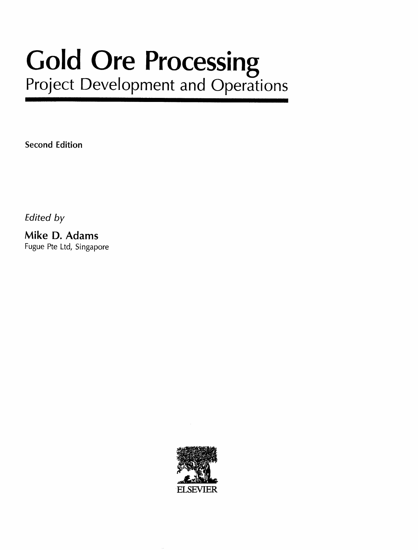# Gold Ore Processing Project Development and Operations

Second Edition

Edited by

Mike D. Adams Fugue Pte Ltd, Singapore

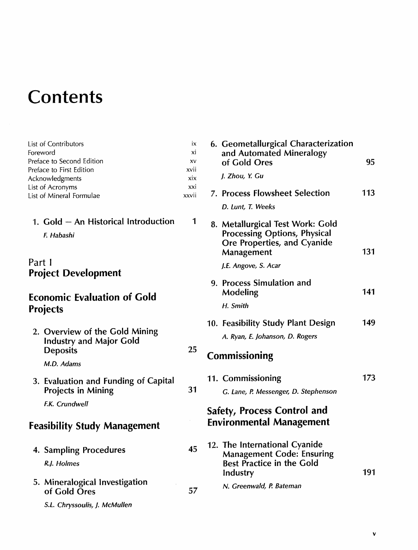# **Contents**

| List of Contributors      | ix    |
|---------------------------|-------|
| Foreword                  | xi    |
| Preface to Second Edition | XV    |
| Preface to First Edition  | xvii  |
| Acknowledgments           | xix   |
| List of Acronyms          | xxi   |
| List of Mineral Formulae  | xxvii |

#### 1. Gold - An Historical Introduction 1

F. Habashi

#### Part <sup>I</sup> Project Development

### Economic Evaluation of Gold Projects

| 2. Overview of the Gold Mining |
|--------------------------------|
| <b>Industry and Major Gold</b> |
| <b>Deposits</b>                |

M.D. Adams

3. Evaluation and Funding of Capital Projects in Mining

25

31

45

57

F.K. Crundwell

## Feasibility Study Management

- 4. Sampling Procedures R.J. Holmes
- 5. Mineralogical Investigation of Gold Ores

S.L. Chryssoulis, J. McMullen

| 6. Geometallurgical Characterization<br>and Automated Mineralogy<br>of Gold Ores                                     | 95  |
|----------------------------------------------------------------------------------------------------------------------|-----|
| J. Zhou, Y. Gu                                                                                                       |     |
| 7. Process Flowsheet Selection                                                                                       | 113 |
| D. Lunt, T. Weeks                                                                                                    |     |
| 8. Metallurgical Test Work: Gold<br><b>Processing Options, Physical</b><br>Ore Properties, and Cyanide<br>Management | 131 |
| J.E. Angove, S. Acar                                                                                                 |     |
| 9. Process Simulation and<br>Modeling                                                                                | 141 |
| H. Smith                                                                                                             |     |
| 10. Feasibility Study Plant Design                                                                                   | 149 |
| A. Ryan, E. Johanson, D. Rogers                                                                                      |     |
| Commissioning                                                                                                        |     |
| 11. Commissioning                                                                                                    | 173 |
| G. Lane, P. Messenger, D. Stephenson                                                                                 |     |
| <b>Safety, Process Control and</b><br><b>Environmental Management</b>                                                |     |
| 12. The International Cyanide<br><b>Management Code: Ensuring</b><br><b>Best Practice in the Gold</b><br>Industry    | 191 |
| N. Greenwald, P. Bateman                                                                                             |     |

v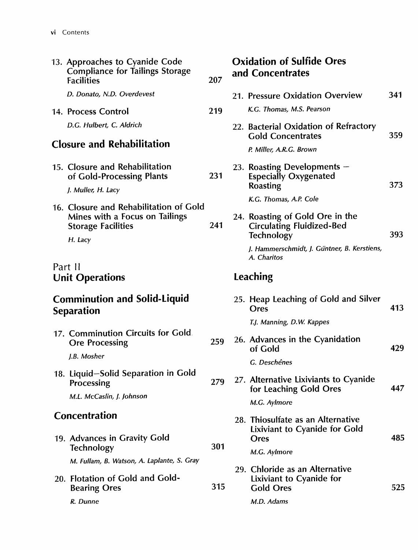| 13. Approaches to Cyanide Code<br><b>Compliance for Tailings Storage</b><br><b>Facilities</b>                    | 207 | <b>Oxidation of Sulfide Ores</b><br>and Concentrates                                     |     |
|------------------------------------------------------------------------------------------------------------------|-----|------------------------------------------------------------------------------------------|-----|
| D. Donato, N.D. Overdevest                                                                                       |     | 21. Pressure Oxidation Overview                                                          | 341 |
| 14. Process Control                                                                                              | 219 | K.G. Thomas, M.S. Pearson                                                                |     |
| D.G. Hulbert, C. Aldrich                                                                                         |     | 22. Bacterial Oxidation of Refractory<br><b>Gold Concentrates</b>                        | 359 |
| <b>Closure and Rehabilitation</b>                                                                                |     | P. Miller, A.R.G. Brown                                                                  |     |
| 15. Closure and Rehabilitation<br>of Gold-Processing Plants                                                      | 231 | 23. Roasting Developments $-$<br><b>Especially Oxygenated</b><br>Roasting                | 373 |
| J. Muller, H. Lacy                                                                                               |     | K.G. Thomas, A.P. Cole                                                                   |     |
| 16. Closure and Rehabilitation of Gold<br>Mines with a Focus on Tailings<br><b>Storage Facilities</b><br>H. Lacy | 241 | 24. Roasting of Gold Ore in the<br><b>Circulating Fluidized-Bed</b><br><b>Technology</b> | 393 |
|                                                                                                                  |     | J. Hammerschmidt, J. Güntner, B. Kerstiens,<br>A. Charitos                               |     |
| Part II<br><b>Unit Operations</b>                                                                                |     | Leaching                                                                                 |     |
| <b>Comminution and Solid-Liquid</b><br><b>Separation</b>                                                         |     | 25. Heap Leaching of Gold and Silver<br>Ores                                             | 413 |
| 17. Comminution Circuits for Gold.<br><b>Ore Processing</b><br>J.B. Mosher                                       | 259 | T.J. Manning, D.W. Kappes<br>26. Advances in the Cyanidation<br>of Gold                  | 429 |
| 18. Liquid-Solid Separation in Gold<br>Processing                                                                | 279 | G. Deschênes<br>27. Alternative Lixiviants to Cyanide<br>for Leaching Gold Ores          | 447 |
| M.L. McCaslin, J. Johnson                                                                                        |     | M.G. Aylmore                                                                             |     |
| <b>Concentration</b>                                                                                             |     | 28. Thiosulfate as an Alternative<br>Lixiviant to Cyanide for Gold                       |     |
| 19. Advances in Gravity Gold<br><b>Technology</b>                                                                | 301 | <b>Ores</b><br>M.G. Aylmore                                                              | 485 |
| M. Fullam, B. Watson, A. Laplante, S. Gray                                                                       |     |                                                                                          |     |
| 20. Flotation of Gold and Gold-<br><b>Bearing Ores</b>                                                           | 315 | 29. Chloride as an Alternative<br>Lixiviant to Cyanide for<br><b>Gold Ores</b>           | 525 |
| R. Dunne                                                                                                         |     | M.D. Adams                                                                               |     |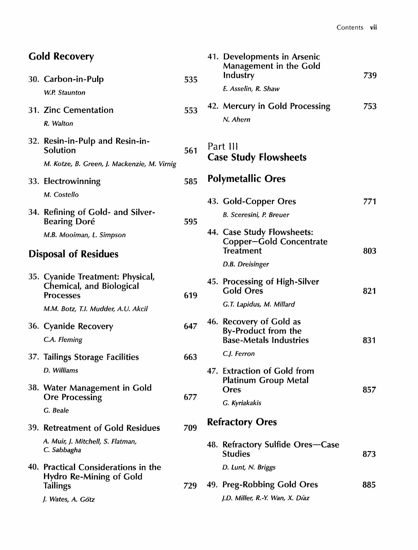| <b>Gold Recovery</b><br>30. Carbon-in-Pulp                                       | 535 | 41. Developments in Arsenic<br>Management in the Gold<br>Industry    | 739 |
|----------------------------------------------------------------------------------|-----|----------------------------------------------------------------------|-----|
| W.P. Staunton                                                                    |     | E. Asselin, R. Shaw                                                  |     |
| 31. Zinc Cementation<br>R. Walton                                                | 553 | 42. Mercury in Gold Processing<br>N. Ahern                           | 753 |
| 32. Resin-in-Pulp and Resin-in-<br>Solution                                      | 561 | Part III<br><b>Case Study Flowsheets</b>                             |     |
| M. Kotze, B. Green, J. Mackenzie, M. Virnig                                      |     |                                                                      |     |
| 33. Electrowinning                                                               | 585 | <b>Polymetallic Ores</b>                                             |     |
| M. Costello                                                                      |     | 43. Gold-Copper Ores                                                 | 771 |
| 34. Refining of Gold- and Silver-<br><b>Bearing Doré</b>                         | 595 | <b>B. Sceresini, P. Breuer</b>                                       |     |
| M.B. Mooiman, L. Simpson                                                         |     | 44. Case Study Flowsheets:<br>Copper-Gold Concentrate                |     |
| <b>Disposal of Residues</b>                                                      |     | <b>Treatment</b>                                                     | 803 |
| 35. Cyanide Treatment: Physical,<br>Chemical, and Biological<br><b>Processes</b> | 619 | D.B. Dreisinger<br>45. Processing of High-Silver<br><b>Gold Ores</b> | 821 |
| M.M. Botz, T.I. Mudder, A.U. Akcil                                               |     | G.T. Lapidus, M. Millard                                             |     |
| 36. Cyanide Recovery                                                             | 647 | 46. Recovery of Gold as<br>By-Product from the                       |     |
| C.A. Fleming                                                                     |     | <b>Base-Metals Industries</b><br>C.J. Ferron                         | 831 |
| 37. Tailings Storage Facilities                                                  | 663 |                                                                      |     |
| D. Williams<br>38. Water Management in Gold<br><b>Ore Processing</b>             | 677 | 47. Extraction of Gold from<br><b>Platinum Group Metal</b><br>Ores   | 857 |
| G. Beale                                                                         |     | G. Kyriakakis                                                        |     |
| 39. Retreatment of Gold Residues                                                 | 709 | <b>Refractory Ores</b>                                               |     |
| A. Muir, J. Mitchell, S. Flatman,<br>C. Sabbagha                                 |     | 48. Refractory Sulfide Ores-Case<br><b>Studies</b>                   | 873 |
| 40. Practical Considerations in the<br>Hydro Re-Mining of Gold                   |     | D. Lunt, N. Briggs                                                   |     |
| <b>Tailings</b>                                                                  | 729 | 49. Preg-Robbing Gold Ores                                           | 885 |
| J. Wates, A. Götz                                                                |     | J.D. Miller, R.-Y. Wan, X. Díaz                                      |     |